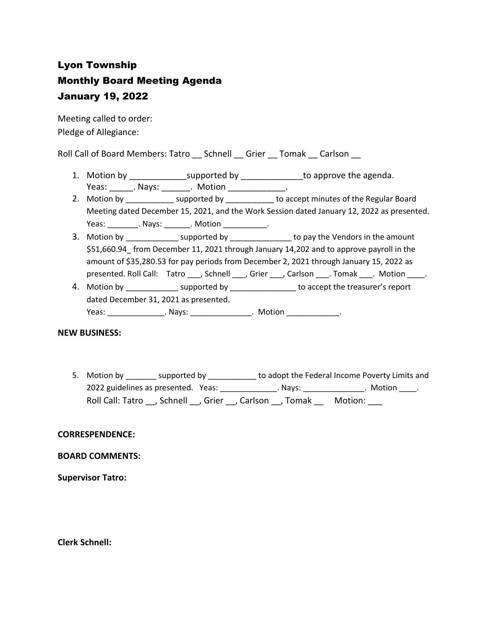## Lyon Township Monthly Board Meeting Agenda January 19, 2022

Meeting called to order: Pledge of Allegiance:

Roll Call of Board Members: Tatro \_\_ Schnell \_\_ Grier \_\_ Tomak \_\_ Carlson \_\_

- 1. Motion by \_\_\_\_\_\_\_\_\_\_\_\_\_\_\_supported by \_\_\_\_\_\_\_\_\_\_\_\_\_\_\_to approve the agenda. Yeas: \_\_\_\_\_\_\_. Nays: \_\_\_\_\_\_\_\_. Motion \_\_\_\_\_\_\_\_\_\_\_\_\_\_\_.
- 2. Motion by \_\_\_\_\_\_\_\_\_\_\_\_\_ supported by \_\_\_\_\_\_\_\_\_\_\_ to accept minutes of the Regular Board Meeting dated December 15, 2021, and the Work Session dated January 12, 2022 as presented. Yeas: \_\_\_\_\_\_\_\_\_. Nays: \_\_\_\_\_\_\_\_. Motion \_\_\_\_\_\_\_\_\_\_\_\_.
- 3. Motion by \_\_\_\_\_\_\_\_\_\_\_\_\_\_\_ supported by \_\_\_\_\_\_\_\_\_\_\_\_\_\_\_\_\_ to pay the Vendors in the amount \$51,660.94\_ from December 11, 2021 through January 14,202 and to approve payroll in the amount of \$35,280.53 for pay periods from December 2, 2021 through January 15, 2022 as presented. Roll Call: Tatro , Schnell , Grier , Carlson . Tomak . Motion .
- 4. Motion by example in the supported by the accept the treasurer's report dated December 31, 2021 as presented. Yeas: \_\_\_\_\_\_\_\_\_\_\_\_\_\_\_\_\_. Nays: \_\_\_\_\_\_\_\_\_\_\_\_\_\_\_\_\_. Motion \_\_\_\_\_\_\_\_\_\_\_\_\_\_\_.

## **NEW BUSINESS:**

5. Motion by \_\_\_\_\_\_\_\_ supported by \_\_\_\_\_\_\_\_\_\_\_\_ to adopt the Federal Income Poverty Limits and 2022 guidelines as presented. Yeas: \_\_\_\_\_\_\_\_\_\_\_\_\_\_. Nays: \_\_\_\_\_\_\_\_\_\_\_\_\_\_. Motion \_\_\_\_. Roll Call: Tatro \_\_, Schnell \_\_, Grier \_\_, Carlson \_\_, Tomak \_\_ Motion: \_\_\_

## **CORRESPENDENCE:**

## **BOARD COMMENTS:**

**Supervisor Tatro:**

**Clerk Schnell:**